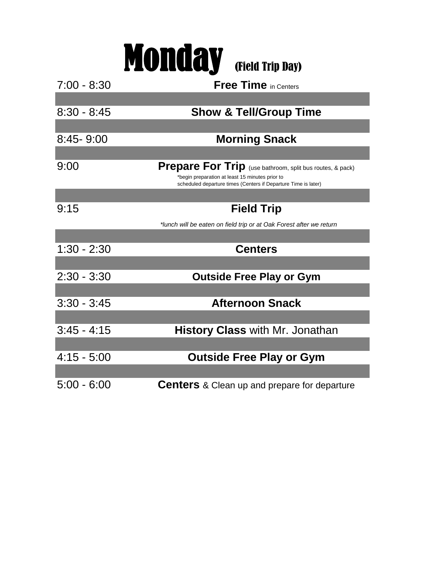|               | <b>Monday</b> (Field Trip Day)                                                                                                                                                        |
|---------------|---------------------------------------------------------------------------------------------------------------------------------------------------------------------------------------|
| $7:00 - 8:30$ | <b>Free Time</b> in Centers                                                                                                                                                           |
|               |                                                                                                                                                                                       |
| $8:30 - 8:45$ | <b>Show &amp; Tell/Group Time</b>                                                                                                                                                     |
|               |                                                                                                                                                                                       |
| $8:45 - 9:00$ | <b>Morning Snack</b>                                                                                                                                                                  |
|               |                                                                                                                                                                                       |
| 9:00          | <b>Prepare For Trip</b> (use bathroom, split bus routes, & pack)<br>*begin preparation at least 15 minutes prior to<br>scheduled departure times (Centers if Departure Time is later) |
|               |                                                                                                                                                                                       |
| 9:15          | <b>Field Trip</b>                                                                                                                                                                     |
|               | *lunch will be eaten on field trip or at Oak Forest after we return                                                                                                                   |
|               |                                                                                                                                                                                       |
| $1:30 - 2:30$ | <b>Centers</b>                                                                                                                                                                        |
|               |                                                                                                                                                                                       |
| $2:30 - 3:30$ | <b>Outside Free Play or Gym</b>                                                                                                                                                       |
|               |                                                                                                                                                                                       |
| $3:30 - 3:45$ | <b>Afternoon Snack</b>                                                                                                                                                                |
|               |                                                                                                                                                                                       |
| $3:45 - 4:15$ | <b>History Class with Mr. Jonathan</b>                                                                                                                                                |
|               |                                                                                                                                                                                       |
| $4:15 - 5:00$ | <b>Outside Free Play or Gym</b>                                                                                                                                                       |
|               |                                                                                                                                                                                       |
| $5:00 - 6:00$ | <b>Centers</b> & Clean up and prepare for departure                                                                                                                                   |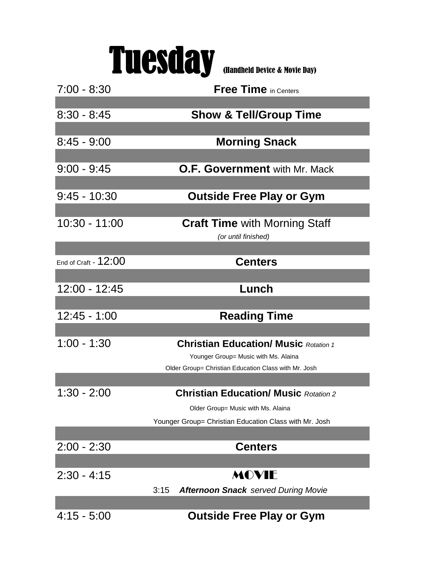

| $7:00 - 8:30$        | <b>Free Time</b> in Centers                                                                  |
|----------------------|----------------------------------------------------------------------------------------------|
|                      |                                                                                              |
| $8:30 - 8:45$        | <b>Show &amp; Tell/Group Time</b>                                                            |
|                      |                                                                                              |
| $8:45 - 9:00$        | <b>Morning Snack</b>                                                                         |
|                      |                                                                                              |
| $9:00 - 9:45$        | <b>O.F. Government</b> with Mr. Mack                                                         |
|                      |                                                                                              |
| $9:45 - 10:30$       | <b>Outside Free Play or Gym</b>                                                              |
|                      |                                                                                              |
| 10:30 - 11:00        | <b>Craft Time with Morning Staff</b>                                                         |
|                      | (or until finished)                                                                          |
|                      |                                                                                              |
| End of Craft - 12:00 | <b>Centers</b>                                                                               |
|                      |                                                                                              |
| 12:00 - 12:45        | Lunch                                                                                        |
|                      |                                                                                              |
| $12:45 - 1:00$       | <b>Reading Time</b>                                                                          |
|                      |                                                                                              |
| $1:00 - 1:30$        | <b>Christian Education/ Music Rotation 1</b>                                                 |
|                      |                                                                                              |
|                      | Younger Group= Music with Ms. Alaina<br>Older Group= Christian Education Class with Mr. Josh |
|                      |                                                                                              |
| 1:30 - 2:00          | <b>Christian Education/ Music Rotation 2</b>                                                 |
|                      | Older Group= Music with Ms. Alaina                                                           |
|                      | Younger Group= Christian Education Class with Mr. Josh                                       |
|                      |                                                                                              |
| $2:00 - 2:30$        | <b>Centers</b>                                                                               |
|                      |                                                                                              |
| $2:30 - 4:15$        | MOVIE                                                                                        |
|                      |                                                                                              |
|                      | 3:15<br><b>Afternoon Snack served During Movie</b>                                           |
|                      |                                                                                              |
| $4:15 - 5:00$        | <b>Outside Free Play or Gym</b>                                                              |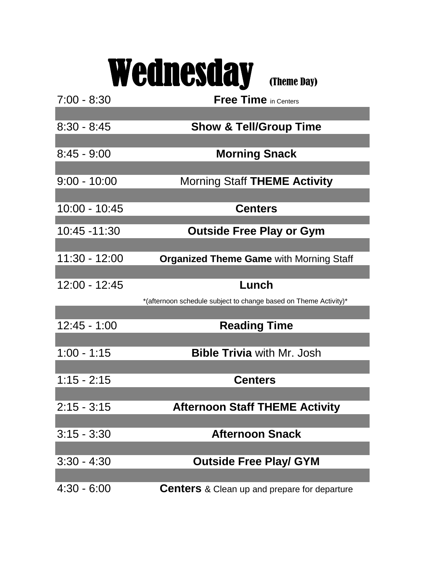## Wednesday (Theme Day)

| $7:00 - 8:30$  | <b>Free Time</b> in Centers                                      |
|----------------|------------------------------------------------------------------|
|                |                                                                  |
| $8:30 - 8:45$  | <b>Show &amp; Tell/Group Time</b>                                |
|                |                                                                  |
| $8:45 - 9:00$  | <b>Morning Snack</b>                                             |
|                |                                                                  |
| $9:00 - 10:00$ | <b>Morning Staff THEME Activity</b>                              |
| 10:00 - 10:45  | <b>Centers</b>                                                   |
|                |                                                                  |
| 10:45 -11:30   | <b>Outside Free Play or Gym</b>                                  |
|                |                                                                  |
| 11:30 - 12:00  | <b>Organized Theme Game with Morning Staff</b>                   |
|                |                                                                  |
| 12:00 - 12:45  | Lunch                                                            |
|                | *(afternoon schedule subject to change based on Theme Activity)* |
|                |                                                                  |
| $12:45 - 1:00$ | <b>Reading Time</b>                                              |
| $1:00 - 1:15$  | <b>Bible Trivia with Mr. Josh</b>                                |
|                |                                                                  |
| $1:15 - 2:15$  | <b>Centers</b>                                                   |
|                |                                                                  |
| $2:15 - 3:15$  | <b>Afternoon Staff THEME Activity</b>                            |
|                |                                                                  |
| $3:15 - 3:30$  | <b>Afternoon Snack</b>                                           |
|                |                                                                  |
| $3:30 - 4:30$  | <b>Outside Free Play/ GYM</b>                                    |
|                |                                                                  |
| $4:30 - 6:00$  | <b>Centers</b> & Clean up and prepare for departure              |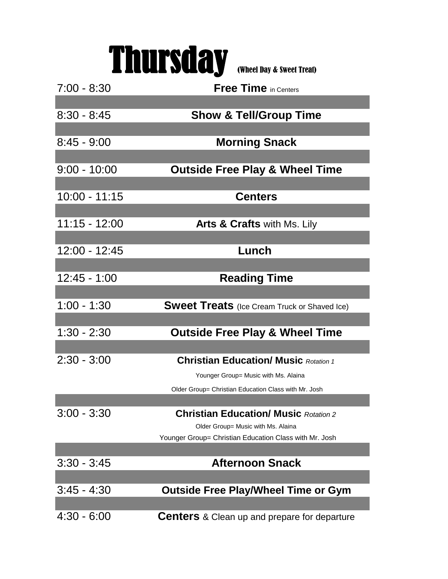## Thursday (Wheel Day & Sweet Treat)

| $7:00 - 8:30$   | <b>Free Time in Centers</b>                            |
|-----------------|--------------------------------------------------------|
|                 |                                                        |
| $8:30 - 8:45$   | <b>Show &amp; Tell/Group Time</b>                      |
|                 |                                                        |
| $8:45 - 9:00$   | <b>Morning Snack</b>                                   |
|                 |                                                        |
| $9:00 - 10:00$  | <b>Outside Free Play &amp; Wheel Time</b>              |
|                 |                                                        |
| 10:00 - 11:15   | <b>Centers</b>                                         |
|                 |                                                        |
| $11:15 - 12:00$ | <b>Arts &amp; Crafts with Ms. Lily</b>                 |
|                 |                                                        |
| 12:00 - 12:45   | Lunch                                                  |
|                 |                                                        |
| 12:45 - 1:00    | <b>Reading Time</b>                                    |
|                 |                                                        |
| $1:00 - 1:30$   | <b>Sweet Treats</b> (Ice Cream Truck or Shaved Ice)    |
|                 |                                                        |
| $1:30 - 2:30$   | <b>Outside Free Play &amp; Wheel Time</b>              |
|                 |                                                        |
| $2:30 - 3:00$   | <b>Christian Education/ Music Rotation 1</b>           |
|                 | Younger Group= Music with Ms. Alaina                   |
|                 | Older Group= Christian Education Class with Mr. Josh   |
|                 |                                                        |
| $3:00 - 3:30$   | <b>Christian Education/ Music Rotation 2</b>           |
|                 | Older Group= Music with Ms. Alaina                     |
|                 | Younger Group= Christian Education Class with Mr. Josh |
| $3:30 - 3:45$   | <b>Afternoon Snack</b>                                 |
|                 |                                                        |
| $3:45 - 4:30$   | <b>Outside Free Play/Wheel Time or Gym</b>             |
|                 |                                                        |
| $4:30 - 6:00$   | <b>Centers</b> & Clean up and prepare for departure    |